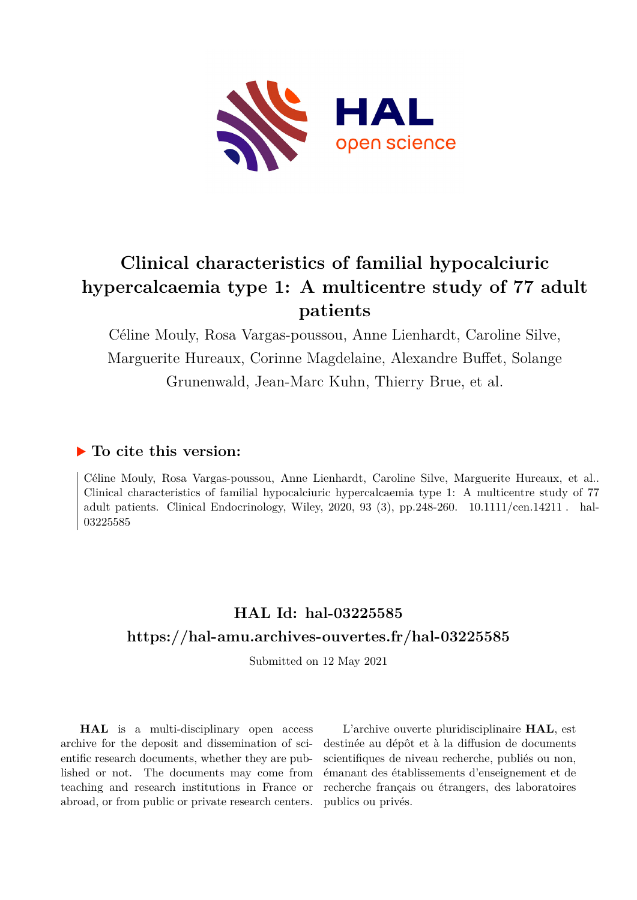

# **Clinical characteristics of familial hypocalciuric hypercalcaemia type 1: A multicentre study of 77 adult patients**

Céline Mouly, Rosa Vargas-poussou, Anne Lienhardt, Caroline Silve, Marguerite Hureaux, Corinne Magdelaine, Alexandre Buffet, Solange Grunenwald, Jean-Marc Kuhn, Thierry Brue, et al.

## **To cite this version:**

Céline Mouly, Rosa Vargas-poussou, Anne Lienhardt, Caroline Silve, Marguerite Hureaux, et al.. Clinical characteristics of familial hypocalciuric hypercalcaemia type 1: A multicentre study of 77 adult patients. Clinical Endocrinology, Wiley, 2020, 93 (3), pp.248-260.  $10.1111/cen.14211$ . hal-03225585

## **HAL Id: hal-03225585 <https://hal-amu.archives-ouvertes.fr/hal-03225585>**

Submitted on 12 May 2021

**HAL** is a multi-disciplinary open access archive for the deposit and dissemination of scientific research documents, whether they are published or not. The documents may come from teaching and research institutions in France or abroad, or from public or private research centers.

L'archive ouverte pluridisciplinaire **HAL**, est destinée au dépôt et à la diffusion de documents scientifiques de niveau recherche, publiés ou non, émanant des établissements d'enseignement et de recherche français ou étrangers, des laboratoires publics ou privés.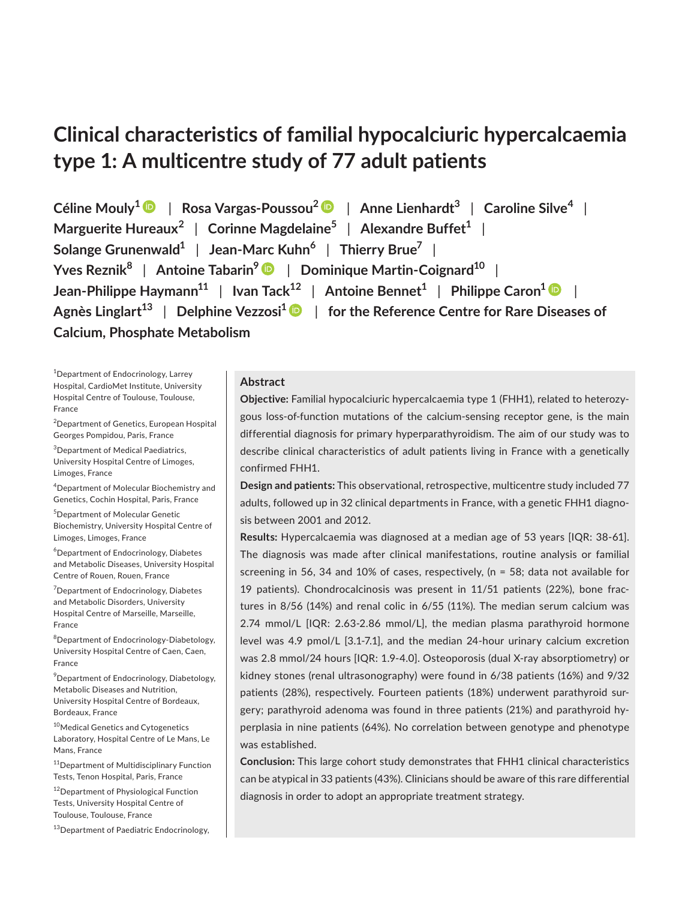## **Clinical characteristics of familial hypocalciuric hypercalcaemia type 1: A multicentre study of 77 adult patients**

**Céline Mouly1** | **Rosa Vargas-Poussou[2](https://orcid.org/0000-0002-4169-0680)** | **Anne Lienhardt3** | **Caroline Silve<sup>4</sup>** | **Marguerite Hureaux<sup>2</sup>** | **Corinne Magdelaine5** | **Alexandre Buffet1** | **Solange Grunenwald1** | **Jean-Marc Kuhn<sup>6</sup>** | **Thierry Brue7** | **Yves Reznik<sup>8</sup>** | **Antoine Tabarin[9](https://orcid.org/0000-0003-1231-3306)** | **Dominique Martin-Coignard10** | **Jean-Philippe Haymann11** | **Ivan Tack12** | **Antoine Bennet1** | **Philippe Caron1** | **Agnès Linglart13** | **Delphine Vezzosi[1](https://orcid.org/0000-0002-6600-4552)** | **for the Reference Centre for Rare Diseases of Calcium, Phosphate Metabolism**

1 Department of Endocrinology, Larrey Hospital, CardioMet Institute, University Hospital Centre of Toulouse, Toulouse, France

<sup>2</sup> Department of Genetics, European Hospital Georges Pompidou, Paris, France

3 Department of Medical Paediatrics, University Hospital Centre of Limoges, Limoges, France

4 Department of Molecular Biochemistry and Genetics, Cochin Hospital, Paris, France

5 Department of Molecular Genetic Biochemistry, University Hospital Centre of Limoges, Limoges, France

6 Department of Endocrinology, Diabetes and Metabolic Diseases, University Hospital Centre of Rouen, Rouen, France

7 Department of Endocrinology, Diabetes and Metabolic Disorders, University Hospital Centre of Marseille, Marseille, France

8 Department of Endocrinology-Diabetology, University Hospital Centre of Caen, Caen, France

9 Department of Endocrinology, Diabetology, Metabolic Diseases and Nutrition, University Hospital Centre of Bordeaux, Bordeaux, France

<sup>10</sup>Medical Genetics and Cytogenetics Laboratory, Hospital Centre of Le Mans, Le Mans, France

<sup>11</sup>Department of Multidisciplinary Function Tests, Tenon Hospital, Paris, France

<sup>12</sup>Department of Physiological Function Tests, University Hospital Centre of Toulouse, Toulouse, France

<sup>13</sup>Department of Paediatric Endocrinology,

## **Abstract**

**Objective:** Familial hypocalciuric hypercalcaemia type 1 (FHH1), related to heterozygous loss-of-function mutations of the calcium-sensing receptor gene, is the main differential diagnosis for primary hyperparathyroidism. The aim of our study was to describe clinical characteristics of adult patients living in France with a genetically confirmed FHH1.

**Design and patients:** This observational, retrospective, multicentre study included 77 adults, followed up in 32 clinical departments in France, with a genetic FHH1 diagnosis between 2001 and 2012.

**Results:** Hypercalcaemia was diagnosed at a median age of 53 years [IQR: 38-61]. The diagnosis was made after clinical manifestations, routine analysis or familial screening in 56, 34 and 10% of cases, respectively, (n = 58; data not available for 19 patients). Chondrocalcinosis was present in 11/51 patients (22%), bone fractures in 8/56 (14%) and renal colic in 6/55 (11%). The median serum calcium was 2.74 mmol/L [IQR: 2.63-2.86 mmol/L], the median plasma parathyroid hormone level was 4.9 pmol/L [3.1-7.1], and the median 24-hour urinary calcium excretion was 2.8 mmol/24 hours [IQR: 1.9-4.0]. Osteoporosis (dual X-ray absorptiometry) or kidney stones (renal ultrasonography) were found in 6/38 patients (16%) and 9/32 patients (28%), respectively. Fourteen patients (18%) underwent parathyroid surgery; parathyroid adenoma was found in three patients (21%) and parathyroid hyperplasia in nine patients (64%). No correlation between genotype and phenotype was established.

**Conclusion:** This large cohort study demonstrates that FHH1 clinical characteristics can be atypical in 33 patients (43%). Clinicians should be aware of this rare differential diagnosis in order to adopt an appropriate treatment strategy.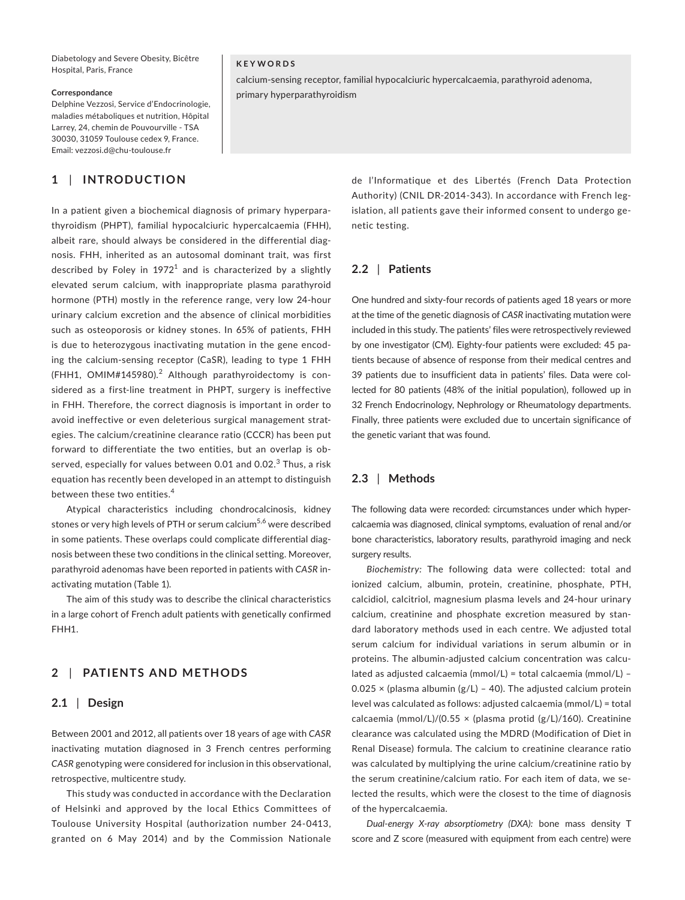Diabetology and Severe Obesity, Bicêtre Hospital, Paris, France

#### **Correspondance**

Delphine Vezzosi, Service d'Endocrinologie, maladies métaboliques et nutrition, Hôpital Larrey, 24, chemin de Pouvourville - TSA 30030, 31059 Toulouse cedex 9, France. Email: [vezzosi.d@chu-toulouse.fr](mailto:vezzosi.d@chu-toulouse.fr)

## **1** | **INTRODUCTION**

In a patient given a biochemical diagnosis of primary hyperparathyroidism (PHPT), familial hypocalciuric hypercalcaemia (FHH), albeit rare, should always be considered in the differential diagnosis. FHH, inherited as an autosomal dominant trait, was first described by Foley in  $1972<sup>1</sup>$  and is characterized by a slightly elevated serum calcium, with inappropriate plasma parathyroid hormone (PTH) mostly in the reference range, very low 24-hour urinary calcium excretion and the absence of clinical morbidities such as osteoporosis or kidney stones. In 65% of patients, FHH is due to heterozygous inactivating mutation in the gene encoding the calcium-sensing receptor (CaSR), leading to type 1 FHH (FHH1, OMIM#145980). $^2$  Although parathyroidectomy is considered as a first-line treatment in PHPT, surgery is ineffective in FHH. Therefore, the correct diagnosis is important in order to avoid ineffective or even deleterious surgical management strategies. The calcium/creatinine clearance ratio (CCCR) has been put forward to differentiate the two entities, but an overlap is observed, especially for values between 0.01 and 0.02. $^3$  Thus, a risk equation has recently been developed in an attempt to distinguish between these two entities.<sup>4</sup>

Atypical characteristics including chondrocalcinosis, kidney stones or very high levels of PTH or serum calcium<sup>5,6</sup> were described in some patients. These overlaps could complicate differential diagnosis between these two conditions in the clinical setting. Moreover, parathyroid adenomas have been reported in patients with *CASR* inactivating mutation (Table 1).

The aim of this study was to describe the clinical characteristics in a large cohort of French adult patients with genetically confirmed FHH1.

## **2** | **PATIENTS AND METHODS**

#### **2.1** | **Design**

Between 2001 and 2012, all patients over 18 years of age with *CASR* inactivating mutation diagnosed in 3 French centres performing *CASR* genotyping were considered for inclusion in this observational, retrospective, multicentre study.

This study was conducted in accordance with the Declaration of Helsinki and approved by the local Ethics Committees of Toulouse University Hospital (authorization number 24-0413, granted on 6 May 2014) and by the Commission Nationale

#### **KEYWORDS**

calcium-sensing receptor, familial hypocalciuric hypercalcaemia, parathyroid adenoma, primary hyperparathyroidism

> de l'Informatique et des Libertés (French Data Protection Authority) (CNIL DR-2014-343). In accordance with French legislation, all patients gave their informed consent to undergo genetic testing.

## **2.2** | **Patients**

One hundred and sixty-four records of patients aged 18 years or more at the time of the genetic diagnosis of *CASR* inactivating mutation were included in this study. The patients' files were retrospectively reviewed by one investigator (CM). Eighty-four patients were excluded: 45 patients because of absence of response from their medical centres and 39 patients due to insufficient data in patients' files. Data were collected for 80 patients (48% of the initial population), followed up in 32 French Endocrinology, Nephrology or Rheumatology departments. Finally, three patients were excluded due to uncertain significance of the genetic variant that was found.

## **2.3** | **Methods**

The following data were recorded: circumstances under which hypercalcaemia was diagnosed, clinical symptoms, evaluation of renal and/or bone characteristics, laboratory results, parathyroid imaging and neck surgery results.

*Biochemistry:* The following data were collected: total and ionized calcium, albumin, protein, creatinine, phosphate, PTH, calcidiol, calcitriol, magnesium plasma levels and 24-hour urinary calcium, creatinine and phosphate excretion measured by standard laboratory methods used in each centre. We adjusted total serum calcium for individual variations in serum albumin or in proteins. The albumin-adjusted calcium concentration was calculated as adjusted calcaemia (mmol/L) = total calcaemia (mmol/L) – 0.025  $\times$  (plasma albumin (g/L) - 40). The adjusted calcium protein level was calculated as follows: adjusted calcaemia (mmol/L) = total calcaemia (mmol/L)/(0.55  $\times$  (plasma protid (g/L)/160). Creatinine clearance was calculated using the MDRD (Modification of Diet in Renal Disease) formula. The calcium to creatinine clearance ratio was calculated by multiplying the urine calcium/creatinine ratio by the serum creatinine/calcium ratio. For each item of data, we selected the results, which were the closest to the time of diagnosis of the hypercalcaemia.

*Dual-energy X-ray absorptiometry (DXA):* bone mass density T score and Z score (measured with equipment from each centre) were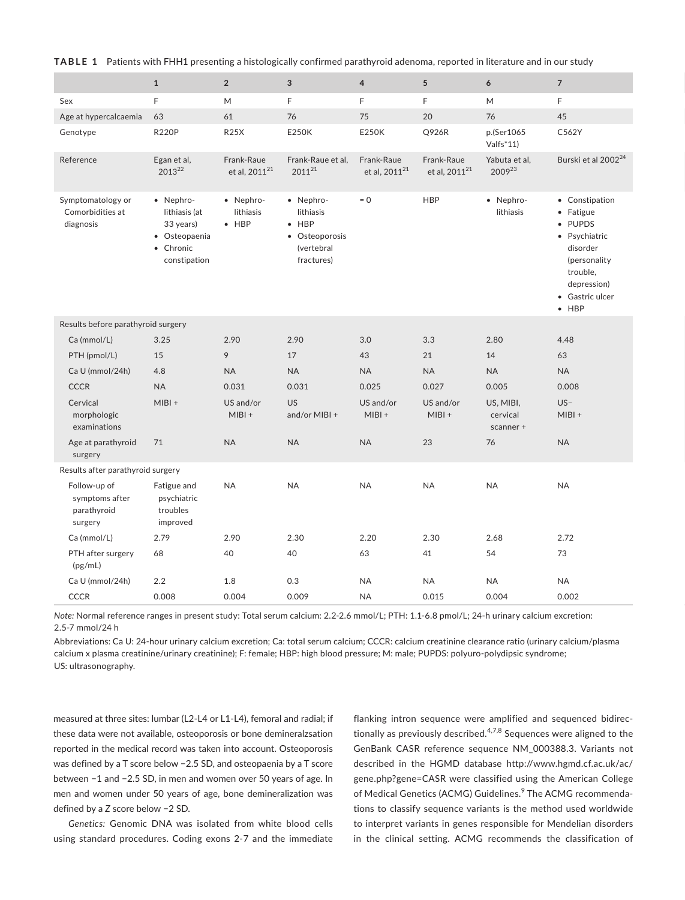**TABLE 1** Patients with FHH1 presenting a histologically confirmed parathyroid adenoma, reported in literature and in our study

|                                                          | 1                                                                                     | $\overline{2}$                          | $\mathbf{3}$                                                                          | $\overline{4}$                          | $5\overline{)}$                         | 6                                  | $\overline{7}$                                                                                                                                     |
|----------------------------------------------------------|---------------------------------------------------------------------------------------|-----------------------------------------|---------------------------------------------------------------------------------------|-----------------------------------------|-----------------------------------------|------------------------------------|----------------------------------------------------------------------------------------------------------------------------------------------------|
| Sex                                                      | F                                                                                     | M                                       | F                                                                                     | F.                                      | F                                       | M                                  | F                                                                                                                                                  |
| Age at hypercalcaemia 63                                 |                                                                                       | 61                                      | 76                                                                                    | 75                                      | 20                                      | 76                                 | 45                                                                                                                                                 |
| Genotype                                                 | <b>R220P</b>                                                                          | <b>R25X</b>                             | E250K                                                                                 | E250K                                   | Q926R                                   | p.(Ser1065<br>Valfs*11)            | C562Y                                                                                                                                              |
| Reference                                                | Egan et al,<br>201322                                                                 | Frank-Raue<br>et al, 2011 <sup>21</sup> | Frank-Raue et al.<br>$2011^{21}$                                                      | Frank-Raue<br>et al, 2011 <sup>21</sup> | Frank-Raue<br>et al, 2011 <sup>21</sup> | Yabuta et al,<br>200923            | Burski et al 2002 <sup>24</sup>                                                                                                                    |
| Symptomatology or<br>Comorbidities at<br>diagnosis       | · Nephro-<br>lithiasis (at<br>33 years)<br>• Osteopaenia<br>• Chronic<br>constipation | · Nephro-<br>lithiasis<br>$\bullet$ HBP | · Nephro-<br>lithiasis<br>$\bullet$ HBP<br>• Osteoporosis<br>(vertebral<br>fractures) | $= 0$                                   | HBP                                     | · Nephro-<br>lithiasis             | • Constipation<br>• Fatigue<br>• PUPDS<br>· Psychiatric<br>disorder<br>(personality<br>trouble,<br>depression)<br>• Gastric ulcer<br>$\bullet$ HBP |
| Results before parathyroid surgery                       |                                                                                       |                                         |                                                                                       |                                         |                                         |                                    |                                                                                                                                                    |
| Ca (mmol/L)                                              | 3.25                                                                                  | 2.90                                    | 2.90                                                                                  | 3.0                                     | 3.3                                     | 2.80                               | 4.48                                                                                                                                               |
| PTH (pmol/L)                                             | 15                                                                                    | 9                                       | 17                                                                                    | 43                                      | 21                                      | 14                                 | 63                                                                                                                                                 |
| Ca U (mmol/24h)                                          | 4.8                                                                                   | <b>NA</b>                               | <b>NA</b>                                                                             | <b>NA</b>                               | <b>NA</b>                               | <b>NA</b>                          | <b>NA</b>                                                                                                                                          |
| <b>CCCR</b>                                              | <b>NA</b>                                                                             | 0.031                                   | 0.031                                                                                 | 0.025                                   | 0.027                                   | 0.005                              | 0.008                                                                                                                                              |
| Cervical<br>morphologic<br>examinations                  | $MIBI +$                                                                              | US and/or<br>$MIBI +$                   | <b>US</b><br>and/or MIBI +                                                            | US and/or<br>$MIBI +$                   | US and/or<br>$MIBI +$                   | US, MIBI,<br>cervical<br>scanner + | $US -$<br>$MIBI +$                                                                                                                                 |
| Age at parathyroid<br>surgery                            | 71                                                                                    | <b>NA</b>                               | <b>NA</b>                                                                             | <b>NA</b>                               | 23                                      | 76                                 | <b>NA</b>                                                                                                                                          |
| Results after parathyroid surgery                        |                                                                                       |                                         |                                                                                       |                                         |                                         |                                    |                                                                                                                                                    |
| Follow-up of<br>symptoms after<br>parathyroid<br>surgery | Fatigue and<br>psychiatric<br>troubles<br>improved                                    | <b>NA</b>                               | <b>NA</b>                                                                             | <b>NA</b>                               | <b>NA</b>                               | <b>NA</b>                          | <b>NA</b>                                                                                                                                          |
| Ca (mmol/L)                                              | 2.79                                                                                  | 2.90                                    | 2.30                                                                                  | 2.20                                    | 2.30                                    | 2.68                               | 2.72                                                                                                                                               |
| PTH after surgery<br>(pg/mL)                             | 68                                                                                    | 40                                      | 40                                                                                    | 63                                      | 41                                      | 54                                 | 73                                                                                                                                                 |
| Ca U (mmol/24h)                                          | 2.2                                                                                   | 1.8                                     | 0.3                                                                                   | <b>NA</b>                               | <b>NA</b>                               | <b>NA</b>                          | <b>NA</b>                                                                                                                                          |
| <b>CCCR</b>                                              | 0.008                                                                                 | 0.004                                   | 0.009                                                                                 | <b>NA</b>                               | 0.015                                   | 0.004                              | 0.002                                                                                                                                              |

*Note:* Normal reference ranges in present study: Total serum calcium: 2.2-2.6 mmol/L; PTH: 1.1-6.8 pmol/L; 24-h urinary calcium excretion: 2.5-7 mmol/24 h

Abbreviations: Ca U: 24-hour urinary calcium excretion; Ca: total serum calcium; CCCR: calcium creatinine clearance ratio (urinary calcium/plasma calcium x plasma creatinine/urinary creatinine); F: female; HBP: high blood pressure; M: male; PUPDS: polyuro-polydipsic syndrome; US: ultrasonography.

measured at three sites: lumbar (L2-L4 or L1-L4), femoral and radial; if these data were not available, osteoporosis or bone demineralzsation reported in the medical record was taken into account. Osteoporosis was defined by a T score below −2.5 SD, and osteopaenia by a T score between −1 and −2.5 SD, in men and women over 50 years of age. In men and women under 50 years of age, bone demineralization was defined by a *Z* score below −2 SD.

*Genetics:* Genomic DNA was isolated from white blood cells using standard procedures. Coding exons 2-7 and the immediate

flanking intron sequence were amplified and sequenced bidirectionally as previously described. $4,7,8$  Sequences were aligned to the GenBank CASR reference sequence NM\_000388.3. Variants not described in the HGMD database [http://www.hgmd.cf.ac.uk/ac/](http://www.hgmd.cf.ac.uk/ac/gene.php?gene=CASR) [gene.php?gene=CASR](http://www.hgmd.cf.ac.uk/ac/gene.php?gene=CASR) were classified using the American College of Medical Genetics (ACMG) Guidelines.<sup>9</sup> The ACMG recommendations to classify sequence variants is the method used worldwide to interpret variants in genes responsible for Mendelian disorders in the clinical setting. ACMG recommends the classification of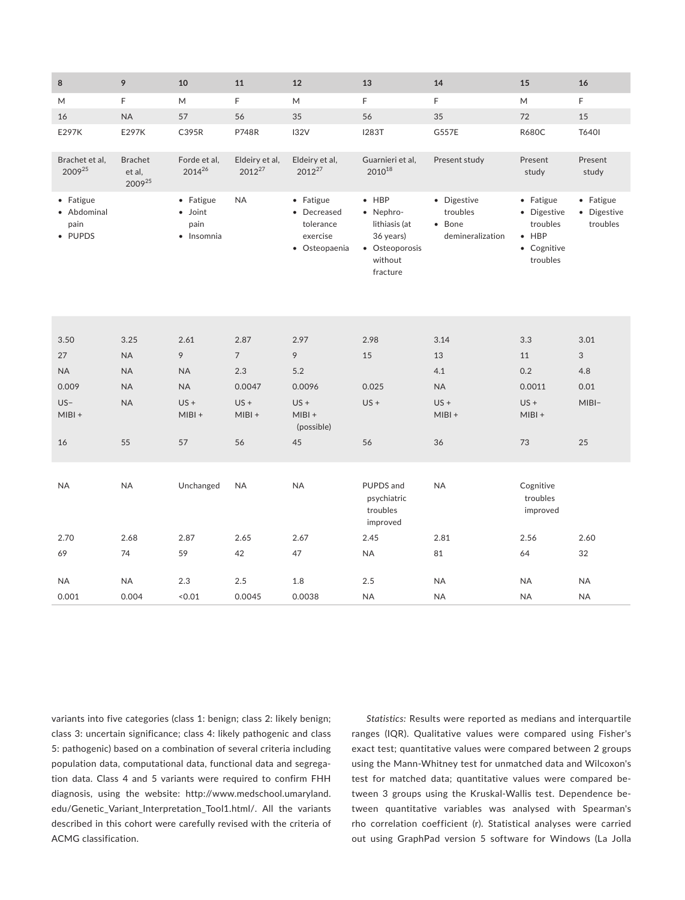| 12<br>13                                                                                                                                                                |                               | 11                 | 10                                                 | 9                                  | 8                                           |
|-------------------------------------------------------------------------------------------------------------------------------------------------------------------------|-------------------------------|--------------------|----------------------------------------------------|------------------------------------|---------------------------------------------|
| M<br>F                                                                                                                                                                  |                               | F                  | M                                                  | F                                  | M                                           |
| 56<br>35                                                                                                                                                                |                               | 56                 | 57                                                 | $\sf NA$                           | 16                                          |
| <b>I283T</b><br>132V                                                                                                                                                    |                               | <b>P748R</b>       | C395R                                              | E297K                              | E297K                                       |
| Eldeiry et al,<br>Guarnieri et al,<br>2012 <sup>27</sup><br>$2010^{18}$                                                                                                 | Eldeiry et al,<br>$2012^{27}$ |                    | Forde et al,<br>201426                             | <b>Brachet</b><br>et al,<br>200925 | Brachet et al,<br>200925                    |
| $\bullet$ HBP<br>• Fatigue<br>· Nephro-<br>• Decreased<br>lithiasis (at<br>tolerance<br>exercise<br>36 years)<br>• Osteopaenia<br>• Osteoporosis<br>without<br>fracture |                               | <b>NA</b>          | • Fatigue<br>$\bullet$ Joint<br>pain<br>· Insomnia |                                    | • Fatigue<br>• Abdominal<br>pain<br>• PUPDS |
| 2.97<br>2.98                                                                                                                                                            |                               | 2.87               | 2.61                                               | 3.25                               | 3.50                                        |
| 9<br>15                                                                                                                                                                 |                               | $7\overline{ }$    | 9                                                  | <b>NA</b>                          | 27                                          |
| 5.2                                                                                                                                                                     |                               | 2.3                | <b>NA</b>                                          | <b>NA</b>                          | <b>NA</b>                                   |
| 0.0096<br>0.025                                                                                                                                                         |                               | 0.0047             | <b>NA</b>                                          | <b>NA</b>                          | 0.009                                       |
| $US +$<br>$US +$<br>$MIBI +$<br>(possible)                                                                                                                              |                               | $US +$<br>$MIBI +$ | $US +$<br>$MIBI +$                                 | <b>NA</b>                          | $US -$<br>$MIBI +$                          |
| 56<br>45                                                                                                                                                                |                               | 56                 | 57                                                 | 55                                 | 16                                          |
| <b>NA</b><br>PUPDS and<br>psychiatric<br>troubles<br>improved                                                                                                           |                               | <b>NA</b>          | Unchanged                                          | <b>NA</b>                          | <b>NA</b>                                   |
| 2.67<br>2.45                                                                                                                                                            |                               | 2.65               | 2.87                                               | 2.68                               | 2.70                                        |
| 47<br><b>NA</b>                                                                                                                                                         |                               | 42                 | 59                                                 | 74                                 | 69                                          |
|                                                                                                                                                                         |                               |                    |                                                    |                                    |                                             |
| 1.8<br>2.5                                                                                                                                                              |                               | 2.5                | 2.3                                                | <b>NA</b>                          | <b>NA</b>                                   |

variants into five categories (class 1: benign; class 2: likely benign; class 3: uncertain significance; class 4: likely pathogenic and class 5: pathogenic) based on a combination of several criteria including population data, computational data, functional data and segregation data. Class 4 and 5 variants were required to confirm FHH diagnosis, using the website: [http://www.medschool.umaryland.](http://www.medschool.umaryland.edu/Genetic_Variant_Interpretation_Tool1.html/) [edu/Genetic\\_Variant\\_Interpretation\\_Tool1.html/.](http://www.medschool.umaryland.edu/Genetic_Variant_Interpretation_Tool1.html/) All the variants described in this cohort were carefully revised with the criteria of ACMG classification.

*Statistics:* Results were reported as medians and interquartile ranges (IQR). Qualitative values were compared using Fisher's exact test; quantitative values were compared between 2 groups using the Mann-Whitney test for unmatched data and Wilcoxon's test for matched data; quantitative values were compared between 3 groups using the Kruskal-Wallis test. Dependence between quantitative variables was analysed with Spearman's rho correlation coefficient (r). Statistical analyses were carried out using GraphPad version 5 software for Windows (La Jolla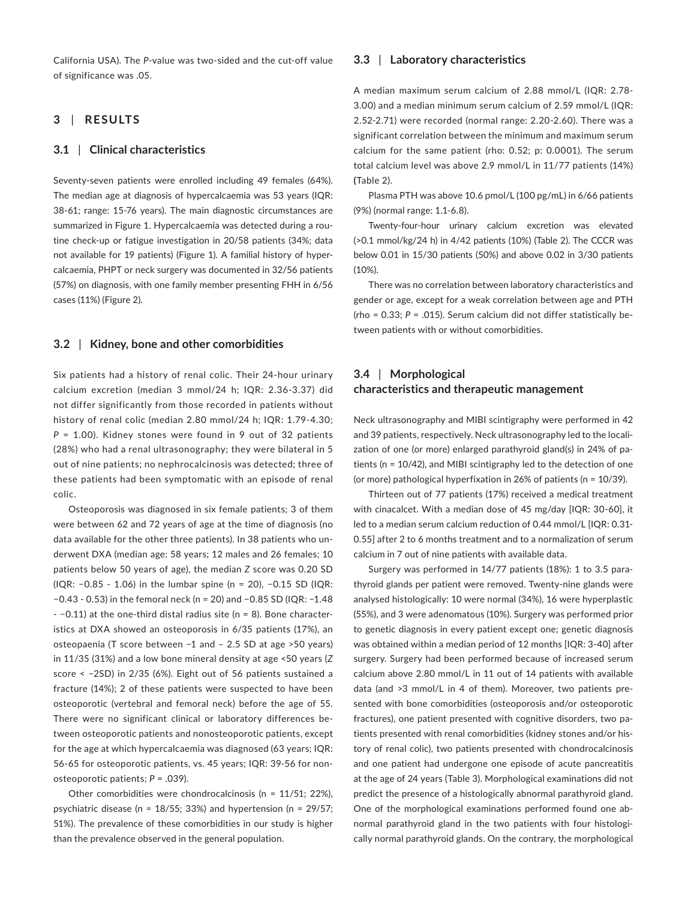California USA). The *P*-value was two-sided and the cut-off value of significance was .05.

## **3** | **RESULTS**

## **3.1** | **Clinical characteristics**

Seventy-seven patients were enrolled including 49 females (64%). The median age at diagnosis of hypercalcaemia was 53 years (IQR: 38-61; range: 15-76 years). The main diagnostic circumstances are summarized in Figure 1. Hypercalcaemia was detected during a routine check-up or fatigue investigation in 20/58 patients (34%; data not available for 19 patients) (Figure 1). A familial history of hypercalcaemia, PHPT or neck surgery was documented in 32/56 patients (57%) on diagnosis, with one family member presenting FHH in 6/56 cases (11%) (Figure 2).

#### **3.2** | **Kidney, bone and other comorbidities**

Six patients had a history of renal colic. Their 24-hour urinary calcium excretion (median 3 mmol/24 h; IQR: 2.36-3.37) did not differ significantly from those recorded in patients without history of renal colic (median 2.80 mmol/24 h; IQR: 1.79-4.30; *P* = 1.00). Kidney stones were found in 9 out of 32 patients (28%) who had a renal ultrasonography; they were bilateral in 5 out of nine patients; no nephrocalcinosis was detected; three of these patients had been symptomatic with an episode of renal colic.

Osteoporosis was diagnosed in six female patients; 3 of them were between 62 and 72 years of age at the time of diagnosis (no data available for the other three patients). In 38 patients who underwent DXA (median age: 58 years; 12 males and 26 females; 10 patients below 50 years of age), the median *Z* score was 0.20 SD (IQR: −0.85 - 1.06) in the lumbar spine (n = 20), −0.15 SD (IQR: −0.43 - 0.53) in the femoral neck (n = 20) and −0.85 SD (IQR: −1.48 - −0.11) at the one-third distal radius site (n = 8). Bone characteristics at DXA showed an osteoporosis in 6/35 patients (17%), an osteopaenia (T score between −1 and – 2.5 SD at age >50 years) in 11/35 (31%) and a low bone mineral density at age <50 years (*Z* score < −2SD) in 2/35 (6%). Eight out of 56 patients sustained a fracture (14%); 2 of these patients were suspected to have been osteoporotic (vertebral and femoral neck) before the age of 55. There were no significant clinical or laboratory differences between osteoporotic patients and nonosteoporotic patients, except for the age at which hypercalcaemia was diagnosed (63 years; IQR: 56-65 for osteoporotic patients, vs. 45 years; IQR: 39-56 for nonosteoporotic patients; *P* = .039).

Other comorbidities were chondrocalcinosis (n = 11/51; 22%), psychiatric disease (n = 18/55; 33%) and hypertension (n = 29/57; 51%). The prevalence of these comorbidities in our study is higher than the prevalence observed in the general population.

### **3.3** | **Laboratory characteristics**

A median maximum serum calcium of 2.88 mmol/L (IQR: 2.78- 3.00) and a median minimum serum calcium of 2.59 mmol/L (IQR: 2.52-2.71) were recorded (normal range: 2.20-2.60). There was a significant correlation between the minimum and maximum serum calcium for the same patient (rho: 0.52; p: 0.0001). The serum total calcium level was above 2.9 mmol/L in 11/77 patients (14%) **(**Table 2).

Plasma PTH was above 10.6 pmol/L (100 pg/mL) in 6/66 patients (9%) (normal range: 1.1-6.8).

Twenty-four-hour urinary calcium excretion was elevated (>0.1 mmol/kg/24 h) in 4/42 patients (10%) (Table 2). The CCCR was below 0.01 in 15/30 patients (50%) and above 0.02 in 3/30 patients (10%).

There was no correlation between laboratory characteristics and gender or age, except for a weak correlation between age and PTH (rho = 0.33; *P* = .015). Serum calcium did not differ statistically between patients with or without comorbidities.

## **3.4** | **Morphological characteristics and therapeutic management**

Neck ultrasonography and MIBI scintigraphy were performed in 42 and 39 patients, respectively. Neck ultrasonography led to the localization of one (or more) enlarged parathyroid gland(s) in 24% of patients (n = 10/42), and MIBI scintigraphy led to the detection of one (or more) pathological hyperfixation in 26% of patients (n = 10/39).

Thirteen out of 77 patients (17%) received a medical treatment with cinacalcet. With a median dose of 45 mg/day [IQR: 30-60], it led to a median serum calcium reduction of 0.44 mmol/L [IQR: 0.31- 0.55] after 2 to 6 months treatment and to a normalization of serum calcium in 7 out of nine patients with available data.

Surgery was performed in 14/77 patients (18%): 1 to 3.5 parathyroid glands per patient were removed. Twenty-nine glands were analysed histologically: 10 were normal (34%), 16 were hyperplastic (55%), and 3 were adenomatous (10%). Surgery was performed prior to genetic diagnosis in every patient except one; genetic diagnosis was obtained within a median period of 12 months [IQR: 3-40] after surgery. Surgery had been performed because of increased serum calcium above 2.80 mmol/L in 11 out of 14 patients with available data (and >3 mmol/L in 4 of them). Moreover, two patients presented with bone comorbidities (osteoporosis and/or osteoporotic fractures), one patient presented with cognitive disorders, two patients presented with renal comorbidities (kidney stones and/or history of renal colic), two patients presented with chondrocalcinosis and one patient had undergone one episode of acute pancreatitis at the age of 24 years (Table 3). Morphological examinations did not predict the presence of a histologically abnormal parathyroid gland. One of the morphological examinations performed found one abnormal parathyroid gland in the two patients with four histologically normal parathyroid glands. On the contrary, the morphological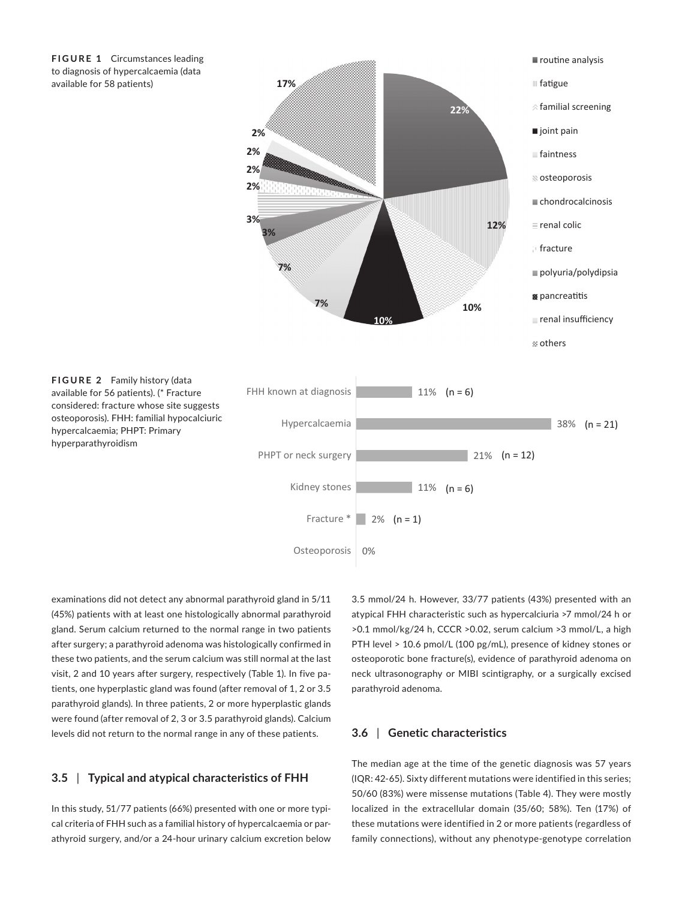

hyperparathyroidism



examinations did not detect any abnormal parathyroid gland in 5/11 (45%) patients with at least one histologically abnormal parathyroid gland. Serum calcium returned to the normal range in two patients after surgery; a parathyroid adenoma was histologically confirmed in these two patients, and the serum calcium was still normal at the last visit, 2 and 10 years after surgery, respectively (Table 1). In five patients, one hyperplastic gland was found (after removal of 1, 2 or 3.5 parathyroid glands). In three patients, 2 or more hyperplastic glands were found (after removal of 2, 3 or 3.5 parathyroid glands). Calcium levels did not return to the normal range in any of these patients.

## **3.5** | **Typical and atypical characteristics of FHH**

In this study, 51/77 patients (66%) presented with one or more typical criteria of FHH such as a familial history of hypercalcaemia or parathyroid surgery, and/or a 24-hour urinary calcium excretion below 3.5 mmol/24 h. However, 33/77 patients (43%) presented with an atypical FHH characteristic such as hypercalciuria >7 mmol/24 h or >0.1 mmol/kg/24 h, CCCR >0.02, serum calcium >3 mmol/L, a high PTH level > 10.6 pmol/L (100 pg/mL), presence of kidney stones or osteoporotic bone fracture(s), evidence of parathyroid adenoma on neck ultrasonography or MIBI scintigraphy, or a surgically excised parathyroid adenoma.

## **3.6** | **Genetic characteristics**

The median age at the time of the genetic diagnosis was 57 years (IQR: 42-65). Sixty different mutations were identified in this series; 50/60 (83%) were missense mutations (Table 4). They were mostly localized in the extracellular domain (35/60; 58%). Ten (17%) of these mutations were identified in 2 or more patients (regardless of family connections), without any phenotype-genotype correlation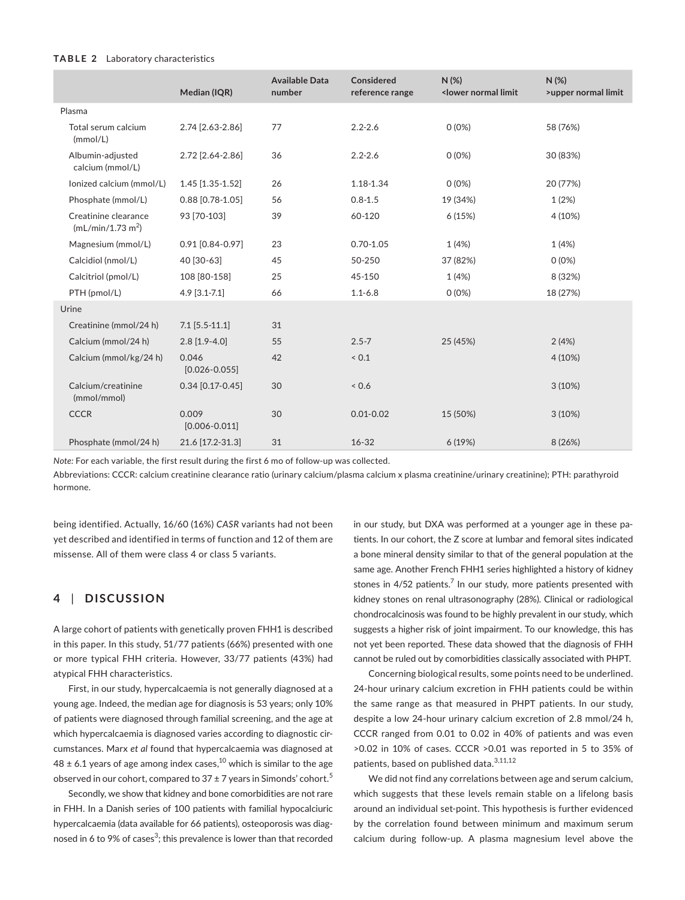#### **TABLE 2** Laboratory characteristics

|                                                       | Median (IQR)               | <b>Available Data</b><br>number | Considered<br>reference range | N(%)<br><lower limit<="" normal="" th=""><th>N(%)<br/>&gt;upper normal limit</th></lower> | N(%)<br>>upper normal limit |
|-------------------------------------------------------|----------------------------|---------------------------------|-------------------------------|-------------------------------------------------------------------------------------------|-----------------------------|
| Plasma                                                |                            |                                 |                               |                                                                                           |                             |
| Total serum calcium<br>(mmol/L)                       | 2.74 [2.63-2.86]           | 77                              | $2.2 - 2.6$                   | $0(0\%)$                                                                                  | 58 (76%)                    |
| Albumin-adjusted<br>calcium (mmol/L)                  | 2.72 [2.64-2.86]           | 36                              | $2.2 - 2.6$                   | $0(0\%)$                                                                                  | 30 (83%)                    |
| lonized calcium (mmol/L)                              | 1.45 [1.35-1.52]           | 26                              | 1.18-1.34                     | $0(0\%)$                                                                                  | 20 (77%)                    |
| Phosphate (mmol/L)                                    | 0.88 [0.78-1.05]           | 56                              | $0.8 - 1.5$                   | 19 (34%)                                                                                  | 1(2%)                       |
| Creatinine clearance<br>(mL/min/1.73 m <sup>2</sup> ) | 93 [70-103]                | 39                              | 60-120                        | 6(15%)                                                                                    | 4 (10%)                     |
| Magnesium (mmol/L)                                    | 0.91 [0.84-0.97]           | 23                              | $0.70 - 1.05$                 | 1(4%)                                                                                     | 1(4%)                       |
| Calcidiol (nmol/L)                                    | 40 [30-63]                 | 45                              | 50-250                        | 37 (82%)                                                                                  | $0(0\%)$                    |
| Calcitriol (pmol/L)                                   | 108 [80-158]               | 25                              | 45-150                        | 1(4%)                                                                                     | 8 (32%)                     |
| PTH (pmol/L)                                          | $4.9$ [3.1-7.1]            | 66                              | $1.1 - 6.8$                   | $0(0\%)$                                                                                  | 18 (27%)                    |
| Urine                                                 |                            |                                 |                               |                                                                                           |                             |
| Creatinine (mmol/24 h)                                | $7.1$ [5.5-11.1]           | 31                              |                               |                                                                                           |                             |
| Calcium (mmol/24 h)                                   | $2.8$ [1.9-4.0]            | 55                              | $2.5 - 7$                     | 25 (45%)                                                                                  | 2(4%)                       |
| Calcium (mmol/kg/24 h)                                | 0.046<br>$[0.026 - 0.055]$ | 42                              | ${}_{0.1}$                    |                                                                                           | 4(10%)                      |
| Calcium/creatinine<br>(mmol/mmol)                     | $0.34$ [0.17-0.45]         | 30                              | < 0.6                         |                                                                                           | 3(10%)                      |
| <b>CCCR</b>                                           | 0.009<br>$[0.006 - 0.011]$ | 30                              | $0.01 - 0.02$                 | 15 (50%)                                                                                  | 3(10%)                      |
| Phosphate (mmol/24 h)                                 | 21.6 [17.2-31.3]           | 31                              | $16 - 32$                     | 6(19%)                                                                                    | 8(26%)                      |

*Note:* For each variable, the first result during the first 6 mo of follow-up was collected.

Abbreviations: CCCR: calcium creatinine clearance ratio (urinary calcium/plasma calcium x plasma creatinine/urinary creatinine); PTH: parathyroid hormone.

being identified. Actually, 16/60 (16%) *CASR* variants had not been yet described and identified in terms of function and 12 of them are missense. All of them were class 4 or class 5 variants.

## **4** | **DISCUSSION**

A large cohort of patients with genetically proven FHH1 is described in this paper. In this study, 51/77 patients (66%) presented with one or more typical FHH criteria. However, 33/77 patients (43%) had atypical FHH characteristics.

First, in our study, hypercalcaemia is not generally diagnosed at a young age. Indeed, the median age for diagnosis is 53 years; only 10% of patients were diagnosed through familial screening, and the age at which hypercalcaemia is diagnosed varies according to diagnostic circumstances. Marx *et al* found that hypercalcaemia was diagnosed at  $48 \pm 6.1$  years of age among index cases,<sup>10</sup> which is similar to the age observed in our cohort, compared to  $37 \pm 7$  years in Simonds' cohort.<sup>5</sup>

Secondly, we show that kidney and bone comorbidities are not rare in FHH. In a Danish series of 100 patients with familial hypocalciuric hypercalcaemia (data available for 66 patients), osteoporosis was diagnosed in 6 to 9% of cases $^3$ ; this prevalence is lower than that recorded in our study, but DXA was performed at a younger age in these patients. In our cohort, the Z score at lumbar and femoral sites indicated a bone mineral density similar to that of the general population at the same age. Another French FHH1 series highlighted a history of kidney stones in  $4/52$  patients.<sup>7</sup> In our study, more patients presented with kidney stones on renal ultrasonography (28%). Clinical or radiological chondrocalcinosis was found to be highly prevalent in our study, which suggests a higher risk of joint impairment. To our knowledge, this has not yet been reported. These data showed that the diagnosis of FHH cannot be ruled out by comorbidities classically associated with PHPT.

Concerning biological results, some points need to be underlined. 24-hour urinary calcium excretion in FHH patients could be within the same range as that measured in PHPT patients. In our study, despite a low 24-hour urinary calcium excretion of 2.8 mmol/24 h, CCCR ranged from 0.01 to 0.02 in 40% of patients and was even >0.02 in 10% of cases. CCCR >0.01 was reported in 5 to 35% of patients, based on published data.<sup>3,11,12</sup>

We did not find any correlations between age and serum calcium, which suggests that these levels remain stable on a lifelong basis around an individual set-point. This hypothesis is further evidenced by the correlation found between minimum and maximum serum calcium during follow-up. A plasma magnesium level above the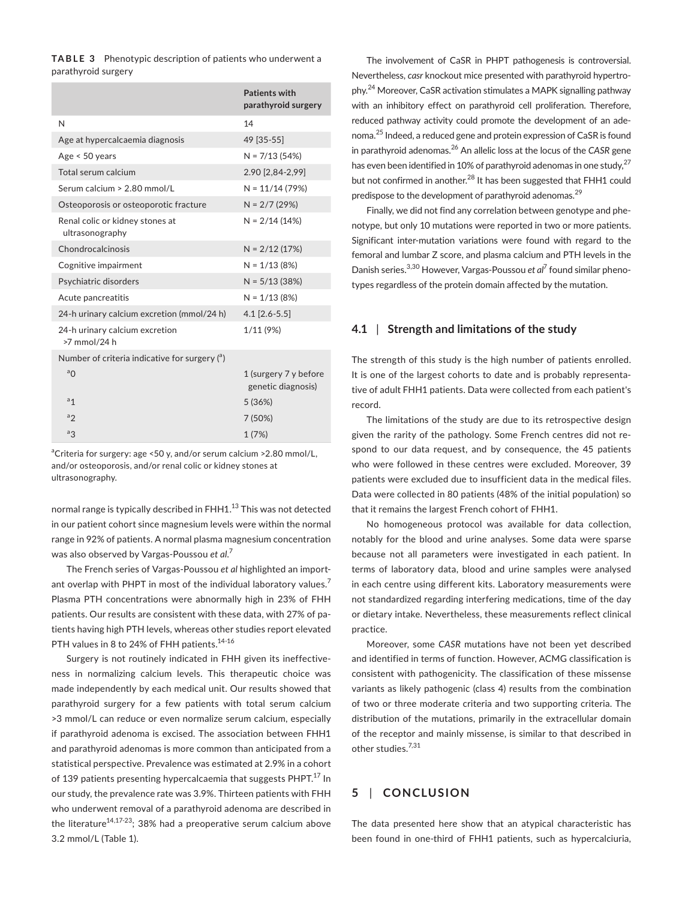**TABLE 3** Phenotypic description of patients who underwent a parathyroid surgery

|                                                    | <b>Patients with</b><br>parathyroid surgery |
|----------------------------------------------------|---------------------------------------------|
| N                                                  | 14                                          |
| Age at hypercalcaemia diagnosis                    | 49 [35-55]                                  |
| Age < 50 years                                     | $N = 7/13(54%)$                             |
| Total serum calcium                                | 2.90 [2,84-2,99]                            |
| Serum calcium > 2.80 mmol/L                        | $N = 11/14(79%)$                            |
| Osteoporosis or osteoporotic fracture              | $N = 2/7 (29%)$                             |
| Renal colic or kidney stones at<br>ultrasonography | $N = 2/14(14%)$                             |
| Chondrocalcinosis                                  | $N = 2/12(17%)$                             |
| Cognitive impairment                               | $N = 1/13(8%)$                              |
| Psychiatric disorders                              | $N = 5/13(38%)$                             |
| Acute pancreatitis                                 | $N = 1/13(8%)$                              |
| 24-h urinary calcium excretion (mmol/24 h)         | $4.1$ [2.6-5.5]                             |
| 24-h urinary calcium excretion<br>>7 mmol/24 h     | 1/11(9%)                                    |
| Number of criteria indicative for surgery $(3)$    |                                             |
| a <sub>0</sub>                                     | 1 (surgery 7 y before<br>genetic diagnosis) |
| a <sub>1</sub>                                     | 5(36%)                                      |
| $a_{2}$                                            | 7(50%)                                      |
| $a_{3}$                                            | 1 (7%)                                      |

<sup>a</sup>Criteria for surgery: age <50 y, and/or serum calcium >2.80 mmol/L, and/or osteoporosis, and/or renal colic or kidney stones at ultrasonography.

normal range is typically described in FHH1.<sup>13</sup> This was not detected in our patient cohort since magnesium levels were within the normal range in 92% of patients. A normal plasma magnesium concentration was also observed by Vargas-Poussou *et al.*<sup>7</sup>

The French series of Vargas-Poussou *et al* highlighted an important overlap with PHPT in most of the individual laboratory values.<sup>7</sup> Plasma PTH concentrations were abnormally high in 23% of FHH patients. Our results are consistent with these data, with 27% of patients having high PTH levels, whereas other studies report elevated PTH values in 8 to 24% of FHH patients.<sup>14-16</sup>

Surgery is not routinely indicated in FHH given its ineffectiveness in normalizing calcium levels. This therapeutic choice was made independently by each medical unit. Our results showed that parathyroid surgery for a few patients with total serum calcium >3 mmol/L can reduce or even normalize serum calcium, especially if parathyroid adenoma is excised. The association between FHH1 and parathyroid adenomas is more common than anticipated from a statistical perspective. Prevalence was estimated at 2.9% in a cohort of 139 patients presenting hypercalcaemia that suggests PHPT.<sup>17</sup> In our study, the prevalence rate was 3.9%. Thirteen patients with FHH who underwent removal of a parathyroid adenoma are described in the literature<sup>14,17-23</sup>; 38% had a preoperative serum calcium above 3.2 mmol/L (Table 1).

The involvement of CaSR in PHPT pathogenesis is controversial. Nevertheless, *casr* knockout mice presented with parathyroid hypertrophy.24 Moreover, CaSR activation stimulates a MAPK signalling pathway with an inhibitory effect on parathyroid cell proliferation. Therefore, reduced pathway activity could promote the development of an adenoma.25 Indeed, a reduced gene and protein expression of CaSR is found in parathyroid adenomas.26 An allelic loss at the locus of the *CASR* gene has even been identified in 10% of parathyroid adenomas in one study,  $27$ but not confirmed in another.<sup>28</sup> It has been suggested that FHH1 could predispose to the development of parathyroid adenomas.<sup>29</sup>

Finally, we did not find any correlation between genotype and phenotype, but only 10 mutations were reported in two or more patients. Significant inter-mutation variations were found with regard to the femoral and lumbar Z score, and plasma calcium and PTH levels in the Danish series.<sup>3,30</sup> However, Vargas-Poussou *et al<sup>7</sup> found similar pheno*types regardless of the protein domain affected by the mutation.

### **4.1** | **Strength and limitations of the study**

The strength of this study is the high number of patients enrolled. It is one of the largest cohorts to date and is probably representative of adult FHH1 patients. Data were collected from each patient's record.

The limitations of the study are due to its retrospective design given the rarity of the pathology. Some French centres did not respond to our data request, and by consequence, the 45 patients who were followed in these centres were excluded. Moreover, 39 patients were excluded due to insufficient data in the medical files. Data were collected in 80 patients (48% of the initial population) so that it remains the largest French cohort of FHH1.

No homogeneous protocol was available for data collection, notably for the blood and urine analyses. Some data were sparse because not all parameters were investigated in each patient. In terms of laboratory data, blood and urine samples were analysed in each centre using different kits. Laboratory measurements were not standardized regarding interfering medications, time of the day or dietary intake. Nevertheless, these measurements reflect clinical practice.

Moreover, some *CASR* mutations have not been yet described and identified in terms of function. However, ACMG classification is consistent with pathogenicity. The classification of these missense variants as likely pathogenic (class 4) results from the combination of two or three moderate criteria and two supporting criteria. The distribution of the mutations, primarily in the extracellular domain of the receptor and mainly missense, is similar to that described in other studies.<sup>7,31</sup>

## **5** | **CONCLUSION**

The data presented here show that an atypical characteristic has been found in one-third of FHH1 patients, such as hypercalciuria,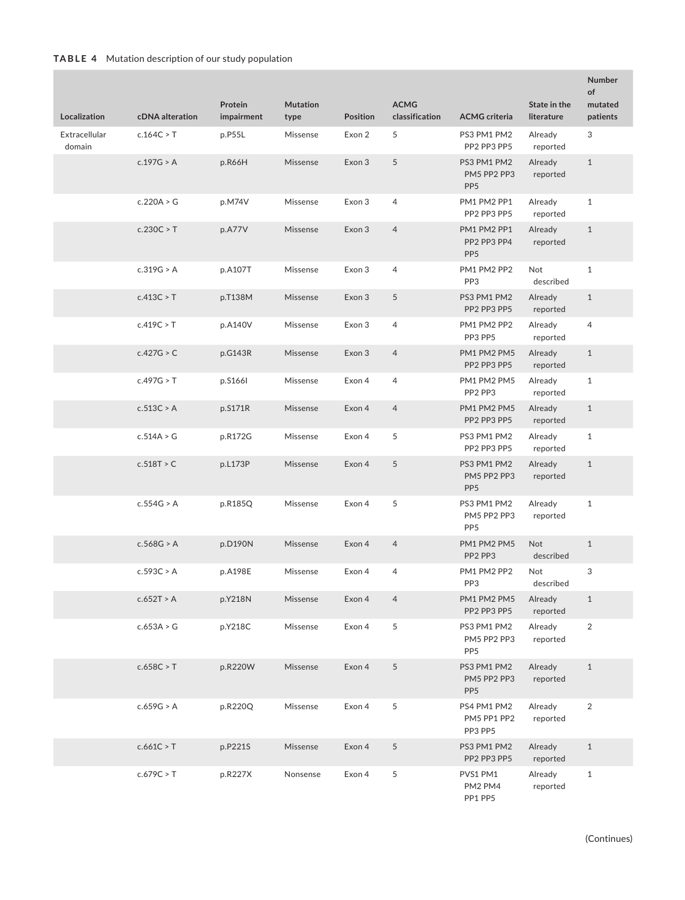| Localization            | cDNA alteration | Protein<br>impairment | <b>Mutation</b><br>type | <b>Position</b> | <b>ACMG</b><br>classification | <b>ACMG</b> criteria                          | State in the<br>literature | Number<br>of<br>mutated<br>patients |
|-------------------------|-----------------|-----------------------|-------------------------|-----------------|-------------------------------|-----------------------------------------------|----------------------------|-------------------------------------|
| Extracellular<br>domain | c.164C > T      | p.P55L                | Missense                | Exon 2          | 5                             | PS3 PM1 PM2<br>PP2 PP3 PP5                    | Already<br>reported        | 3                                   |
|                         | c.197G > A      | p.R66H                | Missense                | Exon 3          | 5                             | PS3 PM1 PM2<br>PM5 PP2 PP3<br>PP <sub>5</sub> | Already<br>reported        | $\mathbf{1}$                        |
|                         | c.220A > G      | p.M74V                | Missense                | Exon 3          | 4                             | PM1 PM2 PP1<br>PP2 PP3 PP5                    | Already<br>reported        | $\mathbf{1}$                        |
|                         | c.230C > T      | p.A77V                | Missense                | Exon 3          | $\overline{4}$                | PM1 PM2 PP1<br>PP2 PP3 PP4<br>PP <sub>5</sub> | Already<br>reported        | $\mathbf{1}$                        |
|                         | c.319G > A      | p.A107T               | Missense                | Exon 3          | 4                             | PM1 PM2 PP2<br>PP3                            | Not<br>described           | $\mathbf{1}$                        |
|                         | c.413C > T      | p.T138M               | Missense                | Exon 3          | 5                             | PS3 PM1 PM2<br>PP2 PP3 PP5                    | Already<br>reported        | $\mathbf{1}$                        |
|                         | c.419C > T      | p.A140V               | Missense                | Exon 3          | 4                             | PM1 PM2 PP2<br>PP3 PP5                        | Already<br>reported        | 4                                   |
|                         | c.427G > C      | p.G143R               | Missense                | Exon 3          | $\overline{4}$                | PM1 PM2 PM5<br>PP2 PP3 PP5                    | Already<br>reported        | $\mathbf{1}$                        |
|                         | c.497G > T      | p.S1661               | Missense                | Exon 4          | 4                             | PM1 PM2 PM5<br>PP2 PP3                        | Already<br>reported        | $\mathbf{1}$                        |
|                         | c.513C > A      | p.S171R               | Missense                | Exon 4          | $\overline{4}$                | PM1 PM2 PM5<br>PP2 PP3 PP5                    | Already<br>reported        | $\mathbf{1}$                        |
|                         | c.514A > G      | p.R172G               | Missense                | Exon 4          | 5                             | PS3 PM1 PM2<br>PP2 PP3 PP5                    | Already<br>reported        | $\mathbf{1}$                        |
|                         | c.518T > C      | p.L173P               | Missense                | Exon 4          | 5                             | PS3 PM1 PM2<br>PM5 PP2 PP3<br>PP <sub>5</sub> | Already<br>reported        | $\mathbf{1}$                        |
|                         | c.554G > A      | p.R185Q               | Missense                | Exon 4          | 5                             | PS3 PM1 PM2<br>PM5 PP2 PP3<br>PP <sub>5</sub> | Already<br>reported        | $\mathbf{1}$                        |
|                         | c.568G > A      | p.D190N               | Missense                | Exon 4          | $\overline{4}$                | PM1 PM2 PM5<br>PP2 PP3                        | Not<br>described           | $\mathbf{1}$                        |
|                         | c.593C > A      | p.A198E               | Missense                | Exon 4          | 4                             | PM1 PM2 PP2<br>PP3                            | Not<br>described           | 3                                   |
|                         | c.652T > A      | p.Y218N               | Missense                | Exon 4          | $\overline{4}$                | PM1 PM2 PM5<br>PP2 PP3 PP5                    | Already<br>reported        | $\mathbf{1}$                        |
|                         | c.653A > G      | p.Y218C               | Missense                | Exon 4          | 5                             | PS3 PM1 PM2<br>PM5 PP2 PP3<br>PP <sub>5</sub> | Already<br>reported        | $\overline{2}$                      |
|                         | c.658C > T      | p.R220W               | Missense                | Exon 4          | 5                             | PS3 PM1 PM2<br>PM5 PP2 PP3<br>PP <sub>5</sub> | Already<br>reported        | $\mathbf{1}$                        |
|                         | c.659G > A      | p.R220Q               | Missense                | Exon 4          | 5                             | PS4 PM1 PM2<br>PM5 PP1 PP2<br>PP3 PP5         | Already<br>reported        | $\overline{2}$                      |
|                         | c.661C > T      | p.P221S               | Missense                | Exon 4          | 5                             | PS3 PM1 PM2<br>PP2 PP3 PP5                    | Already<br>reported        | $\mathbf{1}$                        |
|                         | c.679C > T      | p.R227X               | Nonsense                | Exon 4          | 5                             | PVS1 PM1<br>PM2 PM4<br>PP1 PP5                | Already<br>reported        | $\mathbf{1}$                        |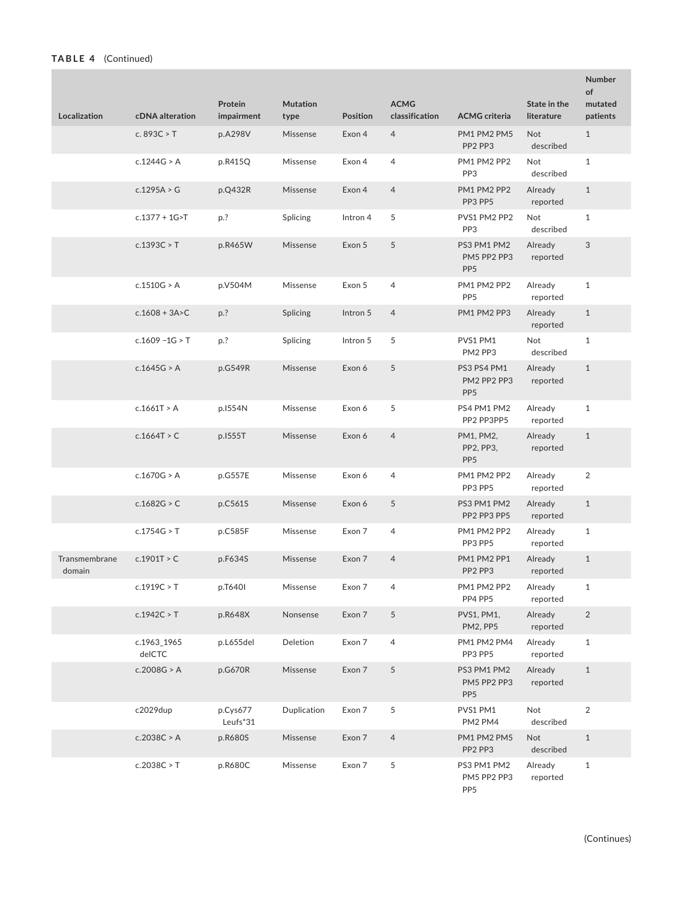## **TABLE 4** (Continued)

| Localization            | cDNA alteration       | Protein<br>impairment | <b>Mutation</b><br>type                                                               | <b>Position</b> | <b>ACMG</b><br>classification | <b>ACMG</b> criteria                          | State in the<br>literature | <b>Number</b><br>of<br>mutated<br>patients |
|-------------------------|-----------------------|-----------------------|---------------------------------------------------------------------------------------|-----------------|-------------------------------|-----------------------------------------------|----------------------------|--------------------------------------------|
|                         | c. 893C > $T$         | p.A298V               | Missense                                                                              | Exon 4          | $\overline{4}$                | PM1 PM2 PM5<br>PP2 PP3                        | Not<br>described           | $\mathbf{1}$                               |
|                         | c.1244G > A           | p.R415Q               | Missense                                                                              | Exon 4          | 4                             | PM1 PM2 PP2<br>PP <sub>3</sub>                | Not<br>described           | $\mathbf{1}$                               |
|                         | c.1295A > G           | p.Q432R               | Missense                                                                              | Exon 4          | $\overline{4}$                | PM1 PM2 PP2<br>PP3 PP5                        | Already<br>reported        | $\mathbf{1}$                               |
|                         | $c.1377 + 1G > T$     | p.?                   | Splicing                                                                              | Intron 4        | 5                             | PVS1 PM2 PP2<br>PP <sub>3</sub>               | Not<br>described           | $\mathbf{1}$                               |
|                         | c.1393C > T           | p.R465W               | Missense                                                                              | Exon 5          | 5                             | PS3 PM1 PM2<br>PM5 PP2 PP3<br>PP <sub>5</sub> | Already<br>reported        | 3                                          |
|                         | c.1510G > A           | p.V504M               | Missense                                                                              | Exon 5          | 4                             | PM1 PM2 PP2<br>PP <sub>5</sub>                | Already<br>reported        | $\mathbf{1}$                               |
|                         | $c.1608 + 3A > C$     | p.?                   | Splicing                                                                              | Intron 5        | 4                             | PM1 PM2 PP3                                   | Already<br>reported        | $\mathbf{1}$                               |
|                         | $c.1609 - 1G > T$     | p.?                   | Splicing                                                                              | Intron 5        | 5                             | PVS1 PM1<br>PM2 PP3                           | Not<br>described           | $\mathbf{1}$                               |
|                         | c.1645G > A           | p.G549R               | Missense                                                                              | Exon 6          | 5                             | PS3 PS4 PM1<br>PM2 PP2 PP3<br>PP <sub>5</sub> | Already<br>reported        | $\mathbf{1}$                               |
|                         | c.1661T > A           | p.1554N               | Missense                                                                              | Exon 6          | 5                             | PS4 PM1 PM2<br>PP2 PP3PP5                     | Already<br>reported        | $\mathbf{1}$                               |
|                         | c.1664T > C           | p.1555T               | Missense                                                                              | Exon 6          | $\overline{4}$                | PM1, PM2,<br>PP2, PP3,<br>PP <sub>5</sub>     | Already<br>reported        | $\mathbf{1}$                               |
|                         | c.1670G > A           | p.G557E               | Missense                                                                              | Exon 6          | 4                             | PM1 PM2 PP2<br>PP3 PP5                        | Already<br>reported        | $\overline{2}$                             |
|                         | c.1682G > C           | p.C561S               | Missense                                                                              | Exon 6          | 5                             | PS3 PM1 PM2<br>PP2 PP3 PP5                    | Already<br>reported        | $\mathbf{1}$                               |
|                         | c.1754G > T           | p.C585F               | Missense                                                                              | Exon 7          | $\overline{4}$                | PM1 PM2 PP2<br>PP3 PP5                        | Already<br>reported        | $\mathbf{1}$                               |
| Transmembrane<br>domain | c.1901T > C           | p.F634S               | Missense                                                                              | Exon 7          | $\overline{4}$                | PM1 PM2 PP1<br>PP2 PP3                        | Already<br>reported        | $\mathbf{1}$                               |
|                         | c.1919C > T           | p.T640I               | $\label{eq:dissense} \begin{minipage}{.4\linewidth} \textbf{Missense} \end{minipage}$ | Exon 7          | 4                             | PM1 PM2 PP2<br>PP4 PP5                        | Already<br>reported        | $\mathbf{1}$                               |
|                         | c.1942C > T           | p.R648X               | Nonsense                                                                              | Exon 7          | $\mathfrak s$                 | PVS1, PM1,<br>PM2, PP5                        | Already<br>reported        | $\sqrt{2}$                                 |
|                         | c.1963_1965<br>delCTC | p.L655del             | Deletion                                                                              | Exon 7          | 4                             | PM1 PM2 PM4<br>PP3 PP5                        | Already<br>reported        | $\mathbf{1}$                               |
|                         | c.2008G > A           | p.G670R               | Missense                                                                              | Exon 7          | 5                             | PS3 PM1 PM2<br>PM5 PP2 PP3<br>PP <sub>5</sub> | Already<br>reported        | $\mathbf{1}$                               |
|                         | c2029dup              | p.Cys677<br>Leufs*31  | Duplication                                                                           | Exon 7          | 5                             | PVS1 PM1<br>PM2 PM4                           | Not<br>described           | $\overline{2}$                             |
|                         | c.2038C > A           | p.R680S               | Missense                                                                              | Exon 7          | $\overline{4}$                | PM1 PM2 PM5<br>PP2 PP3                        | Not<br>described           | $\mathbf{1}$                               |
|                         | c.2038C > T           | p.R680C               | Missense                                                                              | Exon 7          | 5                             | PS3 PM1 PM2<br>PM5 PP2 PP3<br>PP <sub>5</sub> | Already<br>reported        | $1\,$                                      |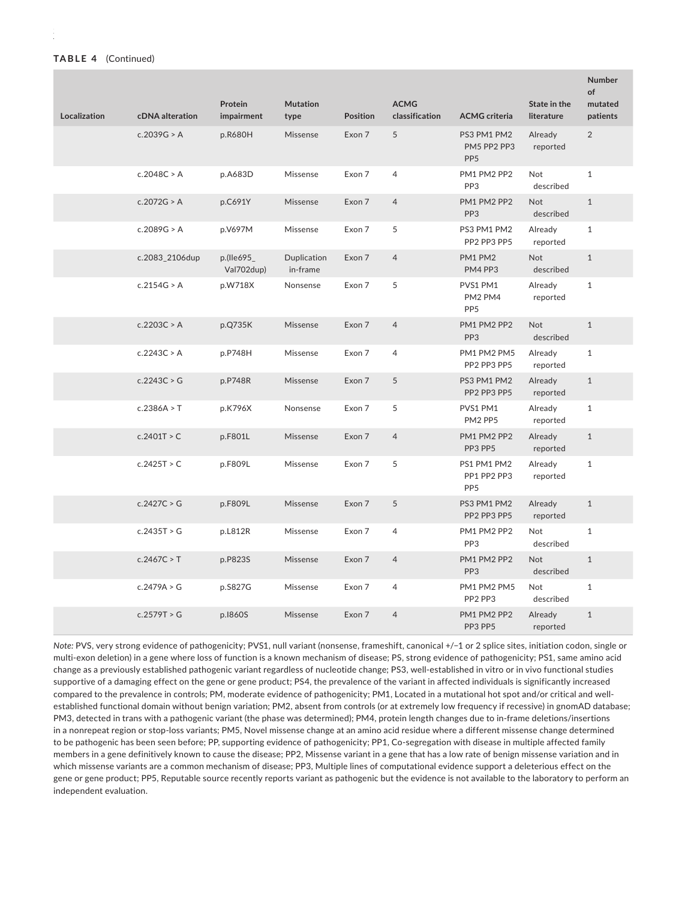| Localization | cDNA alteration | Protein<br>impairment    | <b>Mutation</b><br>type | <b>Position</b> | <b>ACMG</b><br>classification | <b>ACMG</b> criteria                           | State in the<br>literature | <b>Number</b><br>of<br>mutated<br>patients |
|--------------|-----------------|--------------------------|-------------------------|-----------------|-------------------------------|------------------------------------------------|----------------------------|--------------------------------------------|
|              | c.2039G > A     | p.R680H                  | Missense                | Exon 7          | 5                             | PS3 PM1 PM2<br>PM5 PP2 PP3<br>PP <sub>5</sub>  | Already<br>reported        | $\overline{2}$                             |
|              | c.2048C > A     | p.A683D                  | Missense                | Exon 7          | 4                             | PM1 PM2 PP2<br>PP <sub>3</sub>                 | Not<br>described           | $\mathbf{1}$                               |
|              | c.2072G > A     | p.C691Y                  | Missense                | Exon 7          | $\overline{4}$                | PM1 PM2 PP2<br>PP <sub>3</sub>                 | <b>Not</b><br>described    | $\mathbf{1}$                               |
|              | c.2089G > A     | p.V697M                  | Missense                | Exon 7          | 5                             | PS3 PM1 PM2<br>PP2 PP3 PP5                     | Already<br>reported        | $\mathbf{1}$                               |
|              | c.2083 2106dup  | p.(lle695)<br>Val702dup) | Duplication<br>in-frame | Exon 7          | $\overline{4}$                | PM1 PM2<br>PM4 PP3                             | Not<br>described           | $\mathbf{1}$                               |
|              | c.2154G > A     | p.W718X                  | Nonsense                | Exon 7          | 5                             | PVS1 PM1<br>PM2 PM4<br>PP <sub>5</sub>         | Already<br>reported        | $\mathbf{1}$                               |
|              | c.2203C > A     | p.Q735K                  | Missense                | Exon 7          | $\overline{4}$                | PM1 PM2 PP2<br>PP <sub>3</sub>                 | Not<br>described           | $1\,$                                      |
|              | c.2243C > A     | p.P748H                  | Missense                | Exon 7          | 4                             | PM1 PM2 PM5<br>PP2 PP3 PP5                     | Already<br>reported        | $\mathbf{1}$                               |
|              | c.2243C > G     | p.P748R                  | Missense                | Exon 7          | 5                             | PS3 PM1 PM2<br>PP2 PP3 PP5                     | Already<br>reported        | $1\,$                                      |
|              | c.2386A > T     | p.K796X                  | Nonsense                | Exon 7          | 5                             | PVS1 PM1<br>PM2 PP5                            | Already<br>reported        | $\mathbf{1}$                               |
|              | c.2401T > C     | p.F801L                  | Missense                | Exon 7          | $\overline{4}$                | PM1 PM2 PP2<br>PP3 PP5                         | Already<br>reported        | $\mathbf{1}$                               |
|              | c.2425T > C     | p.F809L                  | Missense                | Exon 7          | 5                             | PS1 PM1 PM2<br>PP1 PP2 PP3<br>PP <sub>5</sub>  | Already<br>reported        | $\mathbf{1}$                               |
|              | c.2427C > G     | p.F809L                  | Missense                | Exon 7          | 5                             | PS3 PM1 PM2<br>PP2 PP3 PP5                     | Already<br>reported        | $\mathbf{1}$                               |
|              | c.2435T > G     | p.L812R                  | Missense                | Exon 7          | 4                             | PM1 PM2 PP2<br>PP <sub>3</sub>                 | <b>Not</b><br>described    | $\mathbf{1}$                               |
|              | c.2467C > T     | p.P823S                  | Missense                | Exon 7          | $\overline{4}$                | PM1 PM2 PP2<br>PP <sub>3</sub>                 | <b>Not</b><br>described    | $\mathbf{1}$                               |
|              | c.2479A > G     | p.S827G                  | Missense                | Exon 7          | 4                             | PM1 PM2 PM5<br>PP <sub>2</sub> PP <sub>3</sub> | <b>Not</b><br>described    | $\mathbf{1}$                               |
|              | c.2579T > G     | p.1860S                  | Missense                | Exon 7          | $\overline{4}$                | PM1 PM2 PP2<br>PP3 PP5                         | Already<br>reported        | $\mathbf{1}$                               |

*Note:* PVS, very strong evidence of pathogenicity; PVS1, null variant (nonsense, frameshift, canonical +/−1 or 2 splice sites, initiation codon, single or multi-exon deletion) in a gene where loss of function is a known mechanism of disease; PS, strong evidence of pathogenicity; PS1, same amino acid change as a previously established pathogenic variant regardless of nucleotide change; PS3, well-established in vitro or in vivo functional studies supportive of a damaging effect on the gene or gene product; PS4, the prevalence of the variant in affected individuals is significantly increased compared to the prevalence in controls; PM, moderate evidence of pathogenicity; PM1, Located in a mutational hot spot and/or critical and wellestablished functional domain without benign variation; PM2, absent from controls (or at extremely low frequency if recessive) in gnomAD database; PM3, detected in trans with a pathogenic variant (the phase was determined); PM4, protein length changes due to in-frame deletions/insertions in a nonrepeat region or stop-loss variants; PM5, Novel missense change at an amino acid residue where a different missense change determined to be pathogenic has been seen before; PP, supporting evidence of pathogenicity; PP1, Co-segregation with disease in multiple affected family members in a gene definitively known to cause the disease; PP2, Missense variant in a gene that has a low rate of benign missense variation and in which missense variants are a common mechanism of disease; PP3, Multiple lines of computational evidence support a deleterious effect on the gene or gene product; PP5, Reputable source recently reports variant as pathogenic but the evidence is not available to the laboratory to perform an independent evaluation.

#### **TABLE 4** (Continued)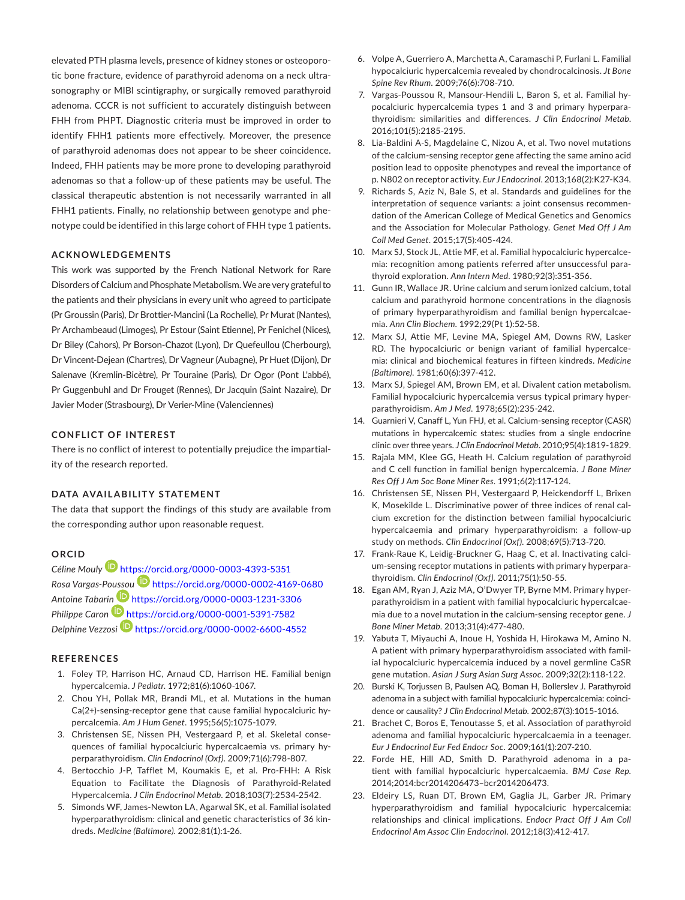elevated PTH plasma levels, presence of kidney stones or osteoporotic bone fracture, evidence of parathyroid adenoma on a neck ultrasonography or MIBI scintigraphy, or surgically removed parathyroid adenoma. CCCR is not sufficient to accurately distinguish between FHH from PHPT. Diagnostic criteria must be improved in order to identify FHH1 patients more effectively. Moreover, the presence of parathyroid adenomas does not appear to be sheer coincidence. Indeed, FHH patients may be more prone to developing parathyroid adenomas so that a follow-up of these patients may be useful. The classical therapeutic abstention is not necessarily warranted in all FHH1 patients. Finally, no relationship between genotype and phenotype could be identified in this large cohort of FHH type 1 patients.

## **ACKNOWLEDGEMENTS**

This work was supported by the French National Network for Rare Disorders of Calcium and Phosphate Metabolism. We are very grateful to the patients and their physicians in every unit who agreed to participate (Pr Groussin (Paris), Dr Brottier-Mancini (La Rochelle), Pr Murat (Nantes), Pr Archambeaud (Limoges), Pr Estour (Saint Etienne), Pr Fenichel (Nices), Dr Biley (Cahors), Pr Borson-Chazot (Lyon), Dr Quefeullou (Cherbourg), Dr Vincent-Dejean (Chartres), Dr Vagneur (Aubagne), Pr Huet (Dijon), Dr Salenave (Kremlin-Bicètre), Pr Touraine (Paris), Dr Ogor (Pont L'abbé), Pr Guggenbuhl and Dr Frouget (Rennes), Dr Jacquin (Saint Nazaire), Dr Javier Moder (Strasbourg), Dr Verier-Mine (Valenciennes)

#### **CONFLICT OF INTEREST**

There is no conflict of interest to potentially prejudice the impartiality of the research reported.

#### **DATA AVAILABILITY STATEMENT**

The data that support the findings of this study are available from the corresponding author upon reasonable request.

#### **ORCID**

*Céline Moul[y](https://orcid.org/0000-0003-4393-5351)* <https://orcid.org/0000-0003-4393-5351> *Rosa Vargas-Po[ussou](https://orcid.org/0000-0003-1231-3306)* <https://orcid.org/0000-0002-4169-0680> *Antoine Tabari[n](https://orcid.org/0000-0001-5391-7582)* <https://orcid.org/0000-0003-1231-3306> *Philippe Caron* <https://orcid.org/0000-0001-5391-7582> *Delphine Vezzosi* <https://orcid.org/0000-0002-6600-4552>

#### **REFERENCES**

- 1. Foley TP, Harrison HC, Arnaud CD, Harrison HE. Familial benign hypercalcemia. *J Pediatr*. 1972;81(6):1060-1067.
- 2. Chou YH, Pollak MR, Brandi ML, et al. Mutations in the human Ca(2+)-sensing-receptor gene that cause familial hypocalciuric hypercalcemia. *Am J Hum Genet*. 1995;56(5):1075-1079.
- 3. Christensen SE, Nissen PH, Vestergaard P, et al. Skeletal consequences of familial hypocalciuric hypercalcaemia vs. primary hyperparathyroidism. *Clin Endocrinol (Oxf)*. 2009;71(6):798-807.
- 4. Bertocchio J-P, Tafflet M, Koumakis E, et al. Pro-FHH: A Risk Equation to Facilitate the Diagnosis of Parathyroid-Related Hypercalcemia. *J Clin Endocrinol Metab*. 2018;103(7):2534-2542.
- 5. Simonds WF, James-Newton LA, Agarwal SK, et al. Familial isolated hyperparathyroidism: clinical and genetic characteristics of 36 kindreds. *Medicine (Baltimore)*. 2002;81(1):1-26.
- 6. Volpe A, Guerriero A, Marchetta A, Caramaschi P, Furlani L. Familial hypocalciuric hypercalcemia revealed by chondrocalcinosis. *Jt Bone Spine Rev Rhum*. 2009;76(6):708-710.
- 7. Vargas-Poussou R, Mansour-Hendili L, Baron S, et al. Familial hypocalciuric hypercalcemia types 1 and 3 and primary hyperparathyroidism: similarities and differences. *J Clin Endocrinol Metab*. 2016;101(5):2185-2195.
- 8. Lia-Baldini A-S, Magdelaine C, Nizou A, et al. Two novel mutations of the calcium-sensing receptor gene affecting the same amino acid position lead to opposite phenotypes and reveal the importance of p. N802 on receptor activity. *Eur J Endocrinol*. 2013;168(2):K27-K34.
- 9. Richards S, Aziz N, Bale S, et al. Standards and guidelines for the interpretation of sequence variants: a joint consensus recommendation of the American College of Medical Genetics and Genomics and the Association for Molecular Pathology. *Genet Med Off J Am Coll Med Genet*. 2015;17(5):405-424.
- 10. Marx SJ, Stock JL, Attie MF, et al. Familial hypocalciuric hypercalcemia: recognition among patients referred after unsuccessful parathyroid exploration. *Ann Intern Med*. 1980;92(3):351-356.
- 11. Gunn IR, Wallace JR. Urine calcium and serum ionized calcium, total calcium and parathyroid hormone concentrations in the diagnosis of primary hyperparathyroidism and familial benign hypercalcaemia. *Ann Clin Biochem*. 1992;29(Pt 1):52-58.
- 12. Marx SJ, Attie MF, Levine MA, Spiegel AM, Downs RW, Lasker RD. The hypocalciuric or benign variant of familial hypercalcemia: clinical and biochemical features in fifteen kindreds. *Medicine (Baltimore)*. 1981;60(6):397-412.
- 13. Marx SJ, Spiegel AM, Brown EM, et al. Divalent cation metabolism. Familial hypocalciuric hypercalcemia versus typical primary hyperparathyroidism. *Am J Med*. 1978;65(2):235-242.
- 14. Guarnieri V, Canaff L, Yun FHJ, et al. Calcium-sensing receptor (CASR) mutations in hypercalcemic states: studies from a single endocrine clinic over three years. *J Clin Endocrinol Metab*. 2010;95(4):1819-1829.
- 15. Rajala MM, Klee GG, Heath H. Calcium regulation of parathyroid and C cell function in familial benign hypercalcemia. *J Bone Miner Res Off J Am Soc Bone Miner Res*. 1991;6(2):117-124.
- 16. Christensen SE, Nissen PH, Vestergaard P, Heickendorff L, Brixen K, Mosekilde L. Discriminative power of three indices of renal calcium excretion for the distinction between familial hypocalciuric hypercalcaemia and primary hyperparathyroidism: a follow-up study on methods. *Clin Endocrinol (Oxf)*. 2008;69(5):713-720.
- 17. Frank-Raue K, Leidig-Bruckner G, Haag C, et al. Inactivating calcium-sensing receptor mutations in patients with primary hyperparathyroidism. *Clin Endocrinol (Oxf)*. 2011;75(1):50-55.
- 18. Egan AM, Ryan J, Aziz MA, O'Dwyer TP, Byrne MM. Primary hyperparathyroidism in a patient with familial hypocalciuric hypercalcaemia due to a novel mutation in the calcium-sensing receptor gene. *J Bone Miner Metab*. 2013;31(4):477-480.
- 19. Yabuta T, Miyauchi A, Inoue H, Yoshida H, Hirokawa M, Amino N. A patient with primary hyperparathyroidism associated with familial hypocalciuric hypercalcemia induced by a novel germline CaSR gene mutation. *Asian J Surg Asian Surg Assoc*. 2009;32(2):118-122.
- 20. Burski K, Torjussen B, Paulsen AQ, Boman H, Bollerslev J. Parathyroid adenoma in a subject with familial hypocalciuric hypercalcemia: coincidence or causality? *J Clin Endocrinol Metab*. 2002;87(3):1015-1016.
- 21. Brachet C, Boros E, Tenoutasse S, et al. Association of parathyroid adenoma and familial hypocalciuric hypercalcaemia in a teenager. *Eur J Endocrinol Eur Fed Endocr Soc*. 2009;161(1):207-210.
- 22. Forde HE, Hill AD, Smith D. Parathyroid adenoma in a patient with familial hypocalciuric hypercalcaemia. *BMJ Case Rep*. 2014;2014:bcr2014206473–bcr2014206473.
- 23. Eldeiry LS, Ruan DT, Brown EM, Gaglia JL, Garber JR. Primary hyperparathyroidism and familial hypocalciuric hypercalcemia: relationships and clinical implications. *Endocr Pract Off J Am Coll Endocrinol Am Assoc Clin Endocrinol*. 2012;18(3):412-417.